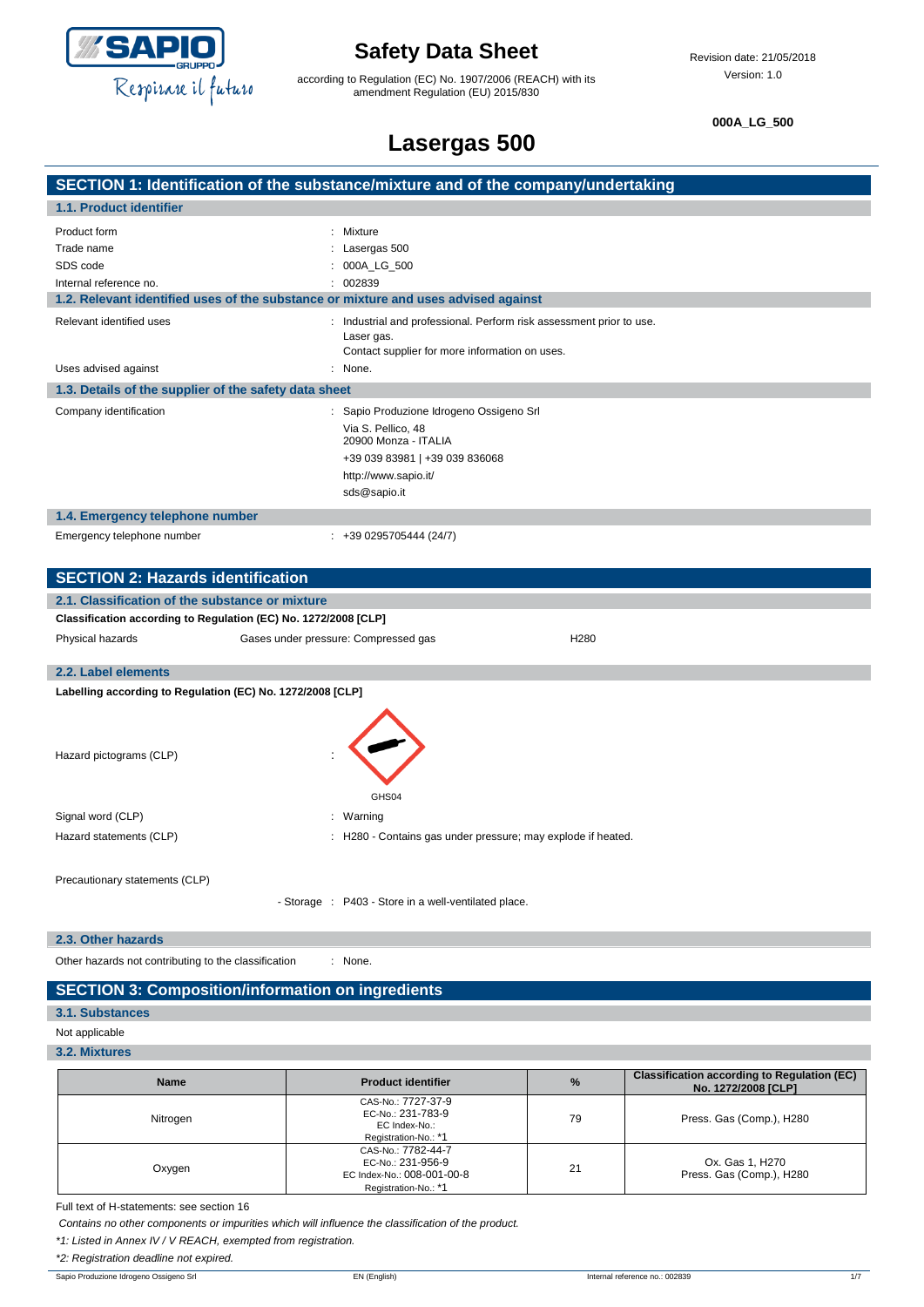

according to Regulation (EC) No. 1907/2006 (REACH) with its amendment Regulation (EU) 2015/830

**000A\_LG\_500**

## **Lasergas 500 SECTION 1: Identification of the substance/mixture and of the company/undertaking 1.1. Product identifier** Product form : Mixture Trade name : Lasergas 500 SDS code : 000A\_LG\_500 Internal reference no. <br>
and the contract of the contract of the contract of the contract of the contract of the contract of the contract of the contract of the contract of the contract of the contract of the contract of t **1.2. Relevant identified uses of the substance or mixture and uses advised against** Relevant identified uses : Industrial and professional. Perform risk assessment prior to use. Laser gas. Contact supplier for more information on uses. Uses advised against : None. **1.3. Details of the supplier of the safety data sheet** Company identification : Sapio Produzione Idrogeno Ossigeno Srl Via S. Pellico, 48 20900 Monza - ITALIA +39 039 83981 | +39 039 836068 http://www.sapio.it/ sds@sapio.it **1.4. Emergency telephone number** Emergency telephone number : +39 0295705444 (24/7) **SECTION 2: Hazards identification 2.1. Classification of the substance or mixture Classification according to Regulation (EC) No. 1272/2008 [CLP]** Physical hazards Gases under pressure: Compressed gas H280 **2.2. Label elements Labelling according to Regulation (EC) No. 1272/2008 [CLP]**

Hazard pictograms (CLP) : GHS04 Signal word (CLP)  $\qquad \qquad$ : Warning Hazard statements (CLP) : H280 - Contains gas under pressure; may explode if heated. Precautionary statements (CLP)

- Storage : P403 - Store in a well-ventilated place.

#### **2.3. Other hazards**

Other hazards not contributing to the classification : None.

## **SECTION 3: Composition/information on ingredients**

### **3.1. Substances**

#### Not applicable

#### **3.2. Mixtures**

| <b>Name</b> | <b>Product identifier</b>                                                                     | $\frac{9}{6}$ | <b>Classification according to Regulation (EC)</b><br>No. 1272/2008 [CLP] |
|-------------|-----------------------------------------------------------------------------------------------|---------------|---------------------------------------------------------------------------|
| Nitrogen    | CAS-No.: 7727-37-9<br>EC-No.: 231-783-9<br>EC Index-No.:<br>Registration-No.: *1              | 79            | Press. Gas (Comp.), H280                                                  |
| Oxygen      | CAS-No.: 7782-44-7<br>EC-No.: 231-956-9<br>EC Index-No.: 008-001-00-8<br>Registration-No.: *1 | 21            | Ox. Gas 1, H270<br>Press. Gas (Comp.), H280                               |

Full text of H-statements: see section 16

*Contains no other components or impurities which will influence the classification of the product.*

*\*1: Listed in Annex IV / V REACH, exempted from registration.*

*\*2: Registration deadline not expired.*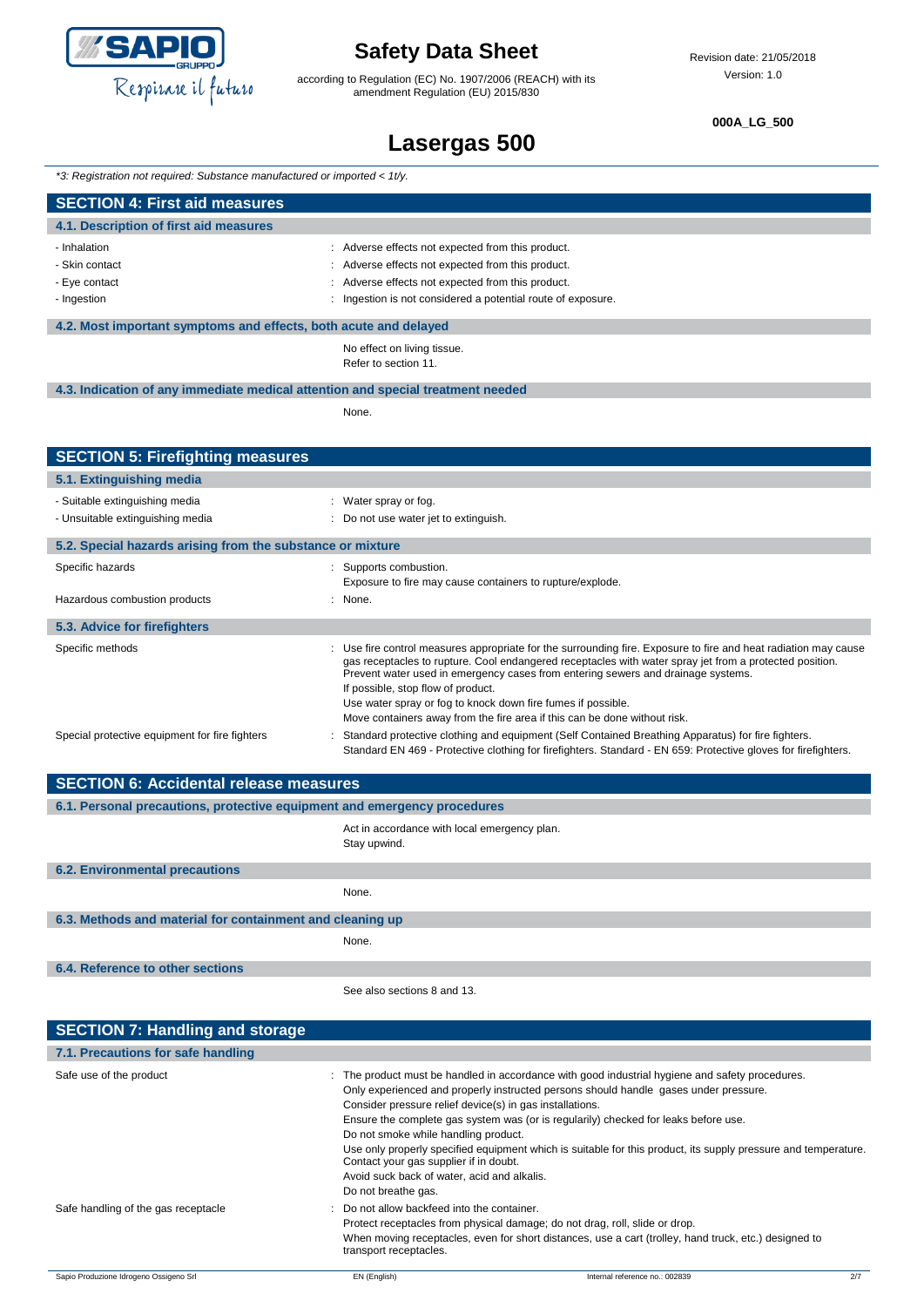

according to Regulation (EC) No. 1907/2006 (REACH) with its amendment Regulation (EU) 2015/830

#### **000A\_LG\_500**

## **Lasergas 500**

*\*3: Registration not required: Substance manufactured or imported < 1t/y.*

| <b>SECTION 4: First aid measures</b>                             |                                                            |  |
|------------------------------------------------------------------|------------------------------------------------------------|--|
| 4.1. Description of first aid measures                           |                                                            |  |
| - Inhalation                                                     | Adverse effects not expected from this product.            |  |
| - Skin contact                                                   | Adverse effects not expected from this product.            |  |
| - Eye contact                                                    | Adverse effects not expected from this product.            |  |
| - Ingestion                                                      | Ingestion is not considered a potential route of exposure. |  |
|                                                                  |                                                            |  |
| 4.2. Most important symptoms and effects, both acute and delayed |                                                            |  |
|                                                                  |                                                            |  |

No effect on living tissue. Refer to section 11.

#### **4.3. Indication of any immediate medical attention and special treatment needed**

None.

| <b>SECTION 5: Firefighting measures</b>                    |                                                                                                                                                                                                                                                                                                                                                                                                                                                                                                   |
|------------------------------------------------------------|---------------------------------------------------------------------------------------------------------------------------------------------------------------------------------------------------------------------------------------------------------------------------------------------------------------------------------------------------------------------------------------------------------------------------------------------------------------------------------------------------|
| 5.1. Extinguishing media                                   |                                                                                                                                                                                                                                                                                                                                                                                                                                                                                                   |
| - Suitable extinguishing media                             | : Water spray or fog.                                                                                                                                                                                                                                                                                                                                                                                                                                                                             |
| - Unsuitable extinguishing media                           | : Do not use water jet to extinguish.                                                                                                                                                                                                                                                                                                                                                                                                                                                             |
| 5.2. Special hazards arising from the substance or mixture |                                                                                                                                                                                                                                                                                                                                                                                                                                                                                                   |
| Specific hazards                                           | : Supports combustion.<br>Exposure to fire may cause containers to rupture/explode.                                                                                                                                                                                                                                                                                                                                                                                                               |
| Hazardous combustion products                              | : None.                                                                                                                                                                                                                                                                                                                                                                                                                                                                                           |
| 5.3. Advice for firefighters                               |                                                                                                                                                                                                                                                                                                                                                                                                                                                                                                   |
| Specific methods                                           | : Use fire control measures appropriate for the surrounding fire. Exposure to fire and heat radiation may cause<br>gas receptacles to rupture. Cool endangered receptacles with water spray jet from a protected position.<br>Prevent water used in emergency cases from entering sewers and drainage systems.<br>If possible, stop flow of product.<br>Use water spray or fog to knock down fire fumes if possible.<br>Move containers away from the fire area if this can be done without risk. |
| Special protective equipment for fire fighters             | Standard protective clothing and equipment (Self Contained Breathing Apparatus) for fire fighters.<br>Standard EN 469 - Protective clothing for firefighters. Standard - EN 659: Protective gloves for firefighters.                                                                                                                                                                                                                                                                              |
| <b>CECTION C. Applebantal valogge measures</b>             |                                                                                                                                                                                                                                                                                                                                                                                                                                                                                                   |

| <b>SECTION 6: Accidental release measures</b>                            |                                                              |  |  |
|--------------------------------------------------------------------------|--------------------------------------------------------------|--|--|
| 6.1. Personal precautions, protective equipment and emergency procedures |                                                              |  |  |
|                                                                          | Act in accordance with local emergency plan.<br>Stay upwind. |  |  |
| <b>6.2. Environmental precautions</b>                                    |                                                              |  |  |
|                                                                          | None.                                                        |  |  |
| 6.3. Methods and material for containment and cleaning up                |                                                              |  |  |
|                                                                          | None.                                                        |  |  |
| 6.4. Reference to other sections                                         |                                                              |  |  |
|                                                                          | See also sections 8 and 13.                                  |  |  |

| <b>SECTION 7: Handling and storage</b> |                                                                                                                                                      |                                                                                                                                                                                                                                                                                                                                                                                                                                                              |     |
|----------------------------------------|------------------------------------------------------------------------------------------------------------------------------------------------------|--------------------------------------------------------------------------------------------------------------------------------------------------------------------------------------------------------------------------------------------------------------------------------------------------------------------------------------------------------------------------------------------------------------------------------------------------------------|-----|
| 7.1. Precautions for safe handling     |                                                                                                                                                      |                                                                                                                                                                                                                                                                                                                                                                                                                                                              |     |
| Safe use of the product                | Do not smoke while handling product.<br>Contact your gas supplier if in doubt.<br>Avoid suck back of water, acid and alkalis.<br>Do not breathe gas. | : The product must be handled in accordance with good industrial hygiene and safety procedures.<br>Only experienced and properly instructed persons should handle gases under pressure.<br>Consider pressure relief device(s) in gas installations.<br>Ensure the complete gas system was (or is regularily) checked for leaks before use.<br>Use only properly specified equipment which is suitable for this product, its supply pressure and temperature. |     |
| Safe handling of the gas receptacle    | : Do not allow backfeed into the container.<br>transport receptacles.                                                                                | Protect receptacles from physical damage; do not drag, roll, slide or drop.<br>When moving receptacles, even for short distances, use a cart (trolley, hand truck, etc.) designed to                                                                                                                                                                                                                                                                         |     |
| Sapio Produzione Idrogeno Ossigeno Srl | EN (English)                                                                                                                                         | Internal reference no.: 002839                                                                                                                                                                                                                                                                                                                                                                                                                               | 2/7 |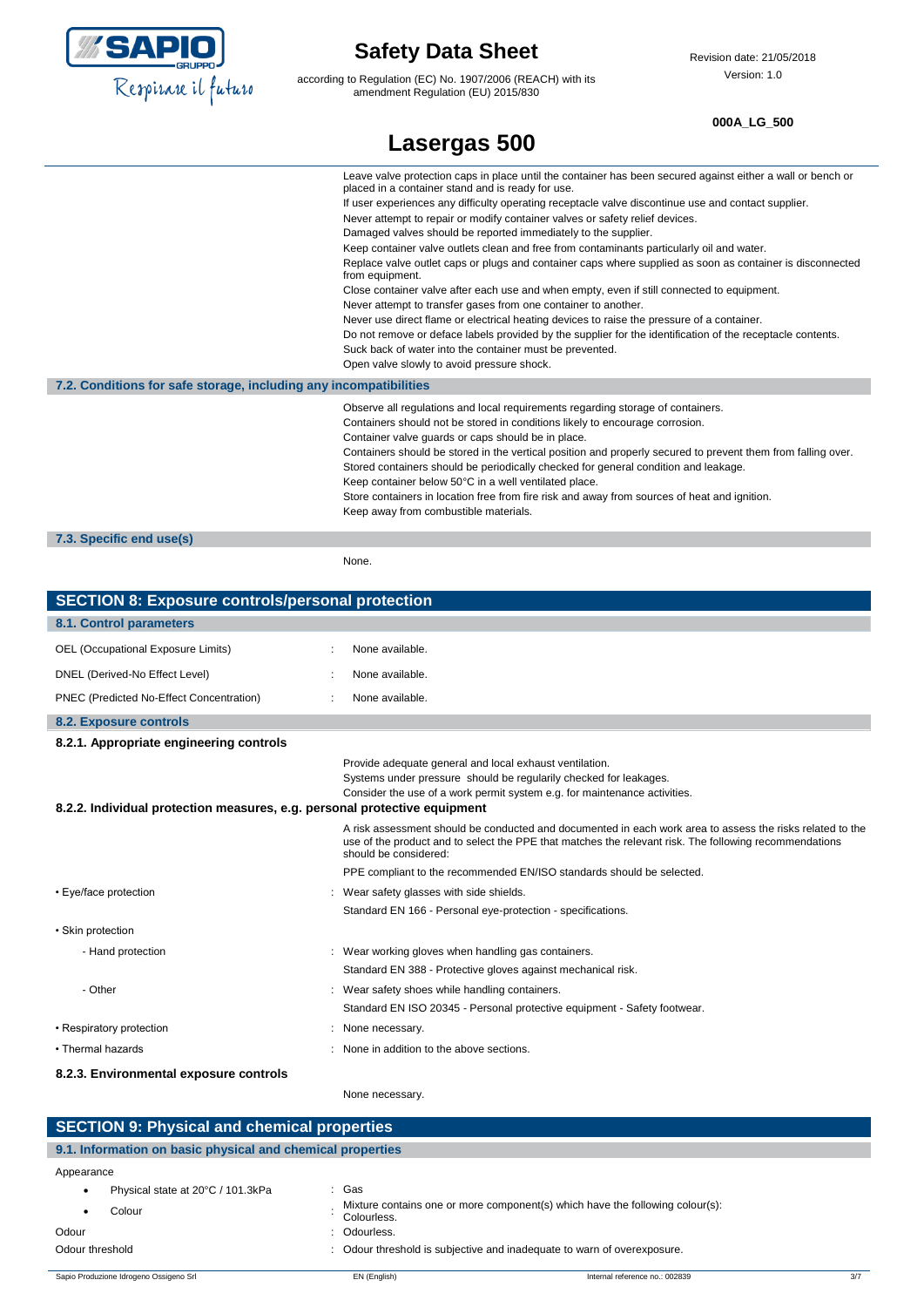

according to Regulation (EC) No. 1907/2006 (REACH) with its amendment Regulation (EU) 2015/830

**000A\_LG\_500**

|                                                                   | Leave valve protection caps in place until the container has been secured against either a wall or bench or<br>placed in a container stand and is ready for use. |  |
|-------------------------------------------------------------------|------------------------------------------------------------------------------------------------------------------------------------------------------------------|--|
|                                                                   | If user experiences any difficulty operating receptacle valve discontinue use and contact supplier.                                                              |  |
|                                                                   | Never attempt to repair or modify container valves or safety relief devices.                                                                                     |  |
|                                                                   | Damaged valves should be reported immediately to the supplier.                                                                                                   |  |
|                                                                   | Keep container valve outlets clean and free from contaminants particularly oil and water.                                                                        |  |
|                                                                   | Replace valve outlet caps or plugs and container caps where supplied as soon as container is disconnected<br>from equipment.                                     |  |
|                                                                   | Close container valve after each use and when empty, even if still connected to equipment.                                                                       |  |
|                                                                   | Never attempt to transfer gases from one container to another.                                                                                                   |  |
|                                                                   | Never use direct flame or electrical heating devices to raise the pressure of a container.                                                                       |  |
|                                                                   | Do not remove or deface labels provided by the supplier for the identification of the receptacle contents.                                                       |  |
|                                                                   | Suck back of water into the container must be prevented.                                                                                                         |  |
|                                                                   | Open valve slowly to avoid pressure shock.                                                                                                                       |  |
| 7.2. Conditions for safe storage, including any incompatibilities |                                                                                                                                                                  |  |
|                                                                   | Observe all regulations and local requirements regarding storage of containers.                                                                                  |  |
|                                                                   | Containers should not be stored in conditions likely to encourage corrosion.                                                                                     |  |
|                                                                   | Container valve guards or caps should be in place.                                                                                                               |  |
|                                                                   | Containers should be stored in the vertical position and properly secured to prevent them from falling over.                                                     |  |
|                                                                   | Stored containers should be periodically checked for general condition and leakage.                                                                              |  |
|                                                                   | Keep container below 50°C in a well ventilated place.                                                                                                            |  |
|                                                                   | Store containers in location free from fire risk and away from sources of heat and ignition.                                                                     |  |
|                                                                   | Keep away from combustible materials.                                                                                                                            |  |
| 7.3. Specific end use(s)                                          |                                                                                                                                                                  |  |
|                                                                   |                                                                                                                                                                  |  |

None.

| <b>SECTION 8: Exposure controls/personal protection</b>                   |                                                                                                                                                |  |
|---------------------------------------------------------------------------|------------------------------------------------------------------------------------------------------------------------------------------------|--|
| 8.1. Control parameters                                                   |                                                                                                                                                |  |
| OEL (Occupational Exposure Limits)                                        | None available.                                                                                                                                |  |
| DNEL (Derived-No Effect Level)                                            | None available.                                                                                                                                |  |
| PNEC (Predicted No-Effect Concentration)                                  | None available.                                                                                                                                |  |
| <b>8.2. Exposure controls</b>                                             |                                                                                                                                                |  |
| 8.2.1. Appropriate engineering controls                                   |                                                                                                                                                |  |
|                                                                           | Provide adequate general and local exhaust ventilation.                                                                                        |  |
|                                                                           | Systems under pressure should be regularily checked for leakages.<br>Consider the use of a work permit system e.g. for maintenance activities. |  |
| 8.2.2. Individual protection measures, e.g. personal protective equipment |                                                                                                                                                |  |
|                                                                           | A risk assessment should be conducted and documented in each work area to assess the risks related to the                                      |  |
|                                                                           | use of the product and to select the PPE that matches the relevant risk. The following recommendations<br>should be considered:                |  |
|                                                                           | PPE compliant to the recommended EN/ISO standards should be selected.                                                                          |  |
| • Eye/face protection                                                     | Wear safety glasses with side shields.                                                                                                         |  |
|                                                                           | Standard EN 166 - Personal eye-protection - specifications.                                                                                    |  |
| • Skin protection                                                         |                                                                                                                                                |  |
| - Hand protection                                                         | : Wear working gloves when handling gas containers.                                                                                            |  |
|                                                                           | Standard EN 388 - Protective gloves against mechanical risk.                                                                                   |  |
| - Other                                                                   | : Wear safety shoes while handling containers.                                                                                                 |  |
|                                                                           | Standard EN ISO 20345 - Personal protective equipment - Safety footwear.                                                                       |  |
| • Respiratory protection                                                  | : None necessary.                                                                                                                              |  |
| • Thermal hazards                                                         | : None in addition to the above sections.                                                                                                      |  |
| 8.2.3. Environmental exposure controls                                    |                                                                                                                                                |  |
|                                                                           | None necessary.                                                                                                                                |  |
|                                                                           |                                                                                                                                                |  |

| <b>SECTION 9: Physical and chemical properties</b>         |              |                                                                               |     |
|------------------------------------------------------------|--------------|-------------------------------------------------------------------------------|-----|
| 9.1. Information on basic physical and chemical properties |              |                                                                               |     |
| Appearance                                                 |              |                                                                               |     |
| Physical state at 20°C / 101.3kPa<br>٠                     | : Gas        |                                                                               |     |
| Colour<br>٠                                                | Colourless.  | Mixture contains one or more component(s) which have the following colour(s): |     |
| Odour                                                      | : Odourless. |                                                                               |     |
| Odour threshold                                            |              | : Odour threshold is subjective and inadequate to warn of overexposure.       |     |
| Sapio Produzione Idrogeno Ossigeno Srl                     | EN (English) | Internal reference no.: 002839                                                | 3/7 |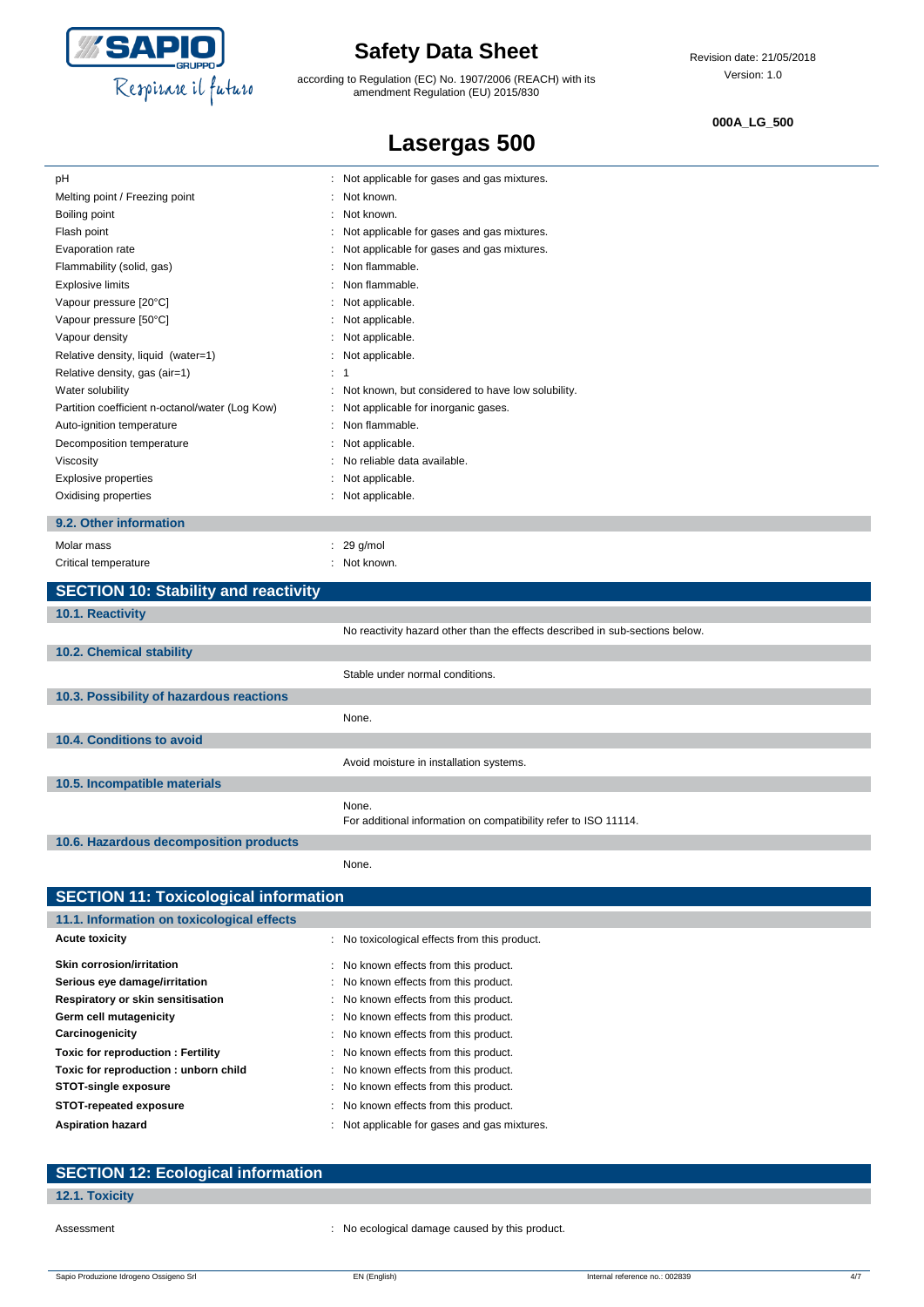

according to Regulation (EC) No. 1907/2006 (REACH) with its amendment Regulation (EU) 2015/830

**Lasergas 500**

#### **000A\_LG\_500**

| pH                                              | Not applicable for gases and gas mixtures.        |
|-------------------------------------------------|---------------------------------------------------|
| Melting point / Freezing point                  | Not known.                                        |
| Boiling point                                   | Not known.                                        |
| Flash point                                     | Not applicable for gases and gas mixtures.        |
| Evaporation rate                                | Not applicable for gases and gas mixtures.        |
| Flammability (solid, gas)                       | Non flammable.                                    |
| <b>Explosive limits</b>                         | Non flammable.                                    |
| Vapour pressure [20°C]                          | : Not applicable.                                 |
| Vapour pressure [50°C]                          | : Not applicable.                                 |
| Vapour density                                  | : Not applicable.                                 |
| Relative density, liquid (water=1)              | : Not applicable.                                 |
| Relative density, gas (air=1)                   | $\therefore$ 1                                    |
| Water solubility                                | Not known, but considered to have low solubility. |
| Partition coefficient n-octanol/water (Log Kow) | Not applicable for inorganic gases.               |
| Auto-ignition temperature                       | Non flammable.                                    |
| Decomposition temperature                       | Not applicable.                                   |
| Viscosity                                       | No reliable data available.                       |
| <b>Explosive properties</b>                     | Not applicable.                                   |
| Oxidising properties                            | : Not applicable.                                 |
| 9.2. Other information                          |                                                   |
| Molar mass                                      | $: 29$ g/mol                                      |
| Critical temperature                            | : Not known.                                      |
| <b>SECTION 10: Stability and reactivity</b>     |                                                   |
|                                                 |                                                   |
| <b>10.1. Reactivity</b>                         |                                                   |

| <b>10.1. Reactivity</b>                  |                                                                              |
|------------------------------------------|------------------------------------------------------------------------------|
|                                          | No reactivity hazard other than the effects described in sub-sections below. |
| 10.2. Chemical stability                 |                                                                              |
|                                          | Stable under normal conditions.                                              |
| 10.3. Possibility of hazardous reactions |                                                                              |
|                                          | None.                                                                        |
| 10.4. Conditions to avoid                |                                                                              |
|                                          | Avoid moisture in installation systems.                                      |
| 10.5. Incompatible materials             |                                                                              |
|                                          | None.<br>For additional information on compatibility refer to ISO 11114.     |
| 10.6. Hazardous decomposition products   |                                                                              |
|                                          | None.                                                                        |

| <b>SECTION 11: Toxicological information</b> |                                               |  |  |
|----------------------------------------------|-----------------------------------------------|--|--|
| 11.1. Information on toxicological effects   |                                               |  |  |
| <b>Acute toxicity</b>                        | : No toxicological effects from this product. |  |  |
| Skin corrosion/irritation                    | : No known effects from this product.         |  |  |
| Serious eye damage/irritation                | : No known effects from this product.         |  |  |
| Respiratory or skin sensitisation            | : No known effects from this product.         |  |  |
| Germ cell mutagenicity                       | : No known effects from this product.         |  |  |
| Carcinogenicity                              | : No known effects from this product.         |  |  |
| <b>Toxic for reproduction: Fertility</b>     | : No known effects from this product.         |  |  |
| Toxic for reproduction: unborn child         | : No known effects from this product.         |  |  |
| <b>STOT-single exposure</b>                  | : No known effects from this product.         |  |  |
| <b>STOT-repeated exposure</b>                | : No known effects from this product.         |  |  |
| <b>Aspiration hazard</b>                     | : Not applicable for gases and gas mixtures.  |  |  |

| <b>SECTION 12: Ecological information</b> |  |
|-------------------------------------------|--|
| 12.1. Toxicity                            |  |

Assessment **in the contract of the CO** contract the cological damage caused by this product.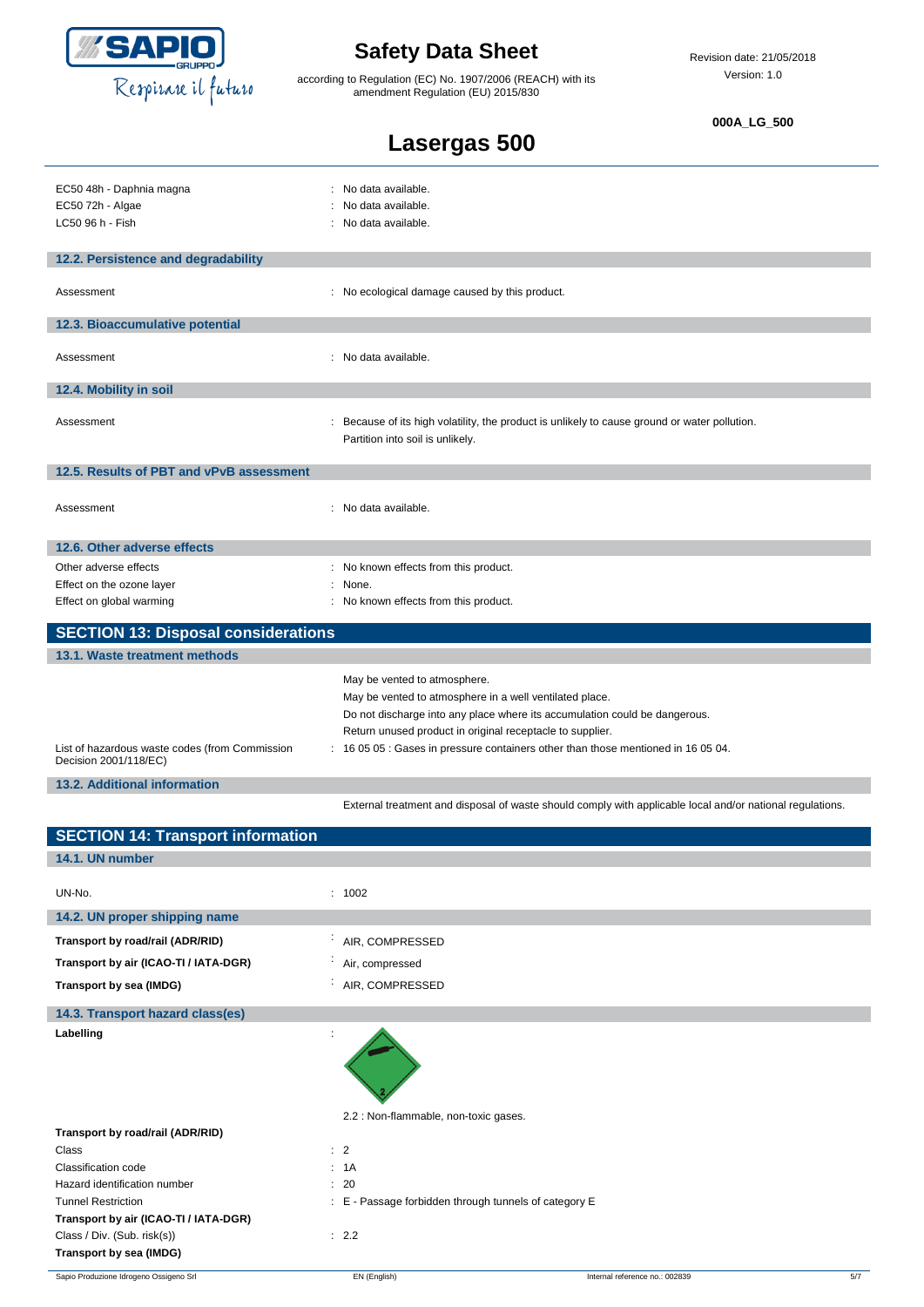

according to Regulation (EC) No. 1907/2006 (REACH) with its amendment Regulation (EU) 2015/830

#### **000A\_LG\_500**

| Lasergas 500 |  |
|--------------|--|
|              |  |

| EC50 48h - Daphnia magna<br>EC50 72h - Algae<br>LC50 96 h - Fish        | : No data available.<br>No data available.<br>: No data available.                                                                                                                                                                                                                                                      |
|-------------------------------------------------------------------------|-------------------------------------------------------------------------------------------------------------------------------------------------------------------------------------------------------------------------------------------------------------------------------------------------------------------------|
| 12.2. Persistence and degradability                                     |                                                                                                                                                                                                                                                                                                                         |
|                                                                         |                                                                                                                                                                                                                                                                                                                         |
| Assessment                                                              | : No ecological damage caused by this product.                                                                                                                                                                                                                                                                          |
| 12.3. Bioaccumulative potential                                         |                                                                                                                                                                                                                                                                                                                         |
| Assessment                                                              | : No data available.                                                                                                                                                                                                                                                                                                    |
| 12.4. Mobility in soil                                                  |                                                                                                                                                                                                                                                                                                                         |
| Assessment                                                              | : Because of its high volatility, the product is unlikely to cause ground or water pollution.<br>Partition into soil is unlikely.                                                                                                                                                                                       |
| 12.5. Results of PBT and vPvB assessment                                |                                                                                                                                                                                                                                                                                                                         |
| Assessment                                                              | : No data available.                                                                                                                                                                                                                                                                                                    |
| 12.6. Other adverse effects                                             |                                                                                                                                                                                                                                                                                                                         |
| Other adverse effects                                                   | : No known effects from this product.                                                                                                                                                                                                                                                                                   |
| Effect on the ozone layer                                               | None.                                                                                                                                                                                                                                                                                                                   |
| Effect on global warming                                                | : No known effects from this product.                                                                                                                                                                                                                                                                                   |
| <b>SECTION 13: Disposal considerations</b>                              |                                                                                                                                                                                                                                                                                                                         |
|                                                                         |                                                                                                                                                                                                                                                                                                                         |
| 13.1. Waste treatment methods                                           |                                                                                                                                                                                                                                                                                                                         |
| List of hazardous waste codes (from Commission<br>Decision 2001/118/EC) | May be vented to atmosphere.<br>May be vented to atmosphere in a well ventilated place.<br>Do not discharge into any place where its accumulation could be dangerous.<br>Return unused product in original receptacle to supplier.<br>: 16 05 05 : Gases in pressure containers other than those mentioned in 16 05 04. |
| 13.2. Additional information                                            |                                                                                                                                                                                                                                                                                                                         |
|                                                                         | External treatment and disposal of waste should comply with applicable local and/or national regulations.                                                                                                                                                                                                               |
| <b>SECTION 14: Transport information</b>                                |                                                                                                                                                                                                                                                                                                                         |
| 14.1. UN number                                                         |                                                                                                                                                                                                                                                                                                                         |
| UN-No.                                                                  | : 1002                                                                                                                                                                                                                                                                                                                  |
| 14.2. UN proper shipping name                                           |                                                                                                                                                                                                                                                                                                                         |
| Transport by road/rail (ADR/RID)                                        | AIR, COMPRESSED                                                                                                                                                                                                                                                                                                         |
| Transport by air (ICAO-TI / IATA-DGR)                                   | Air, compressed                                                                                                                                                                                                                                                                                                         |
| Transport by sea (IMDG)                                                 | AIR, COMPRESSED                                                                                                                                                                                                                                                                                                         |
| 14.3. Transport hazard class(es)                                        |                                                                                                                                                                                                                                                                                                                         |
| Labelling                                                               | 2.2 : Non-flammable, non-toxic gases.                                                                                                                                                                                                                                                                                   |

**Transport by road/rail (ADR/RID)** Class : 2 Classification code : 1A Hazard identification number : 20 Tunnel Restriction **in the striction** : E - Passage forbidden through tunnels of category E **Transport by air (ICAO-TI / IATA-DGR)** Class / Div. (Sub. risk(s)) : 2.2 **Transport by sea (IMDG)**

Sapio Produzione Idrogeno Ossigeno Srl **EN (English)** EN (English) **Internal reference no.: 002839** 5/7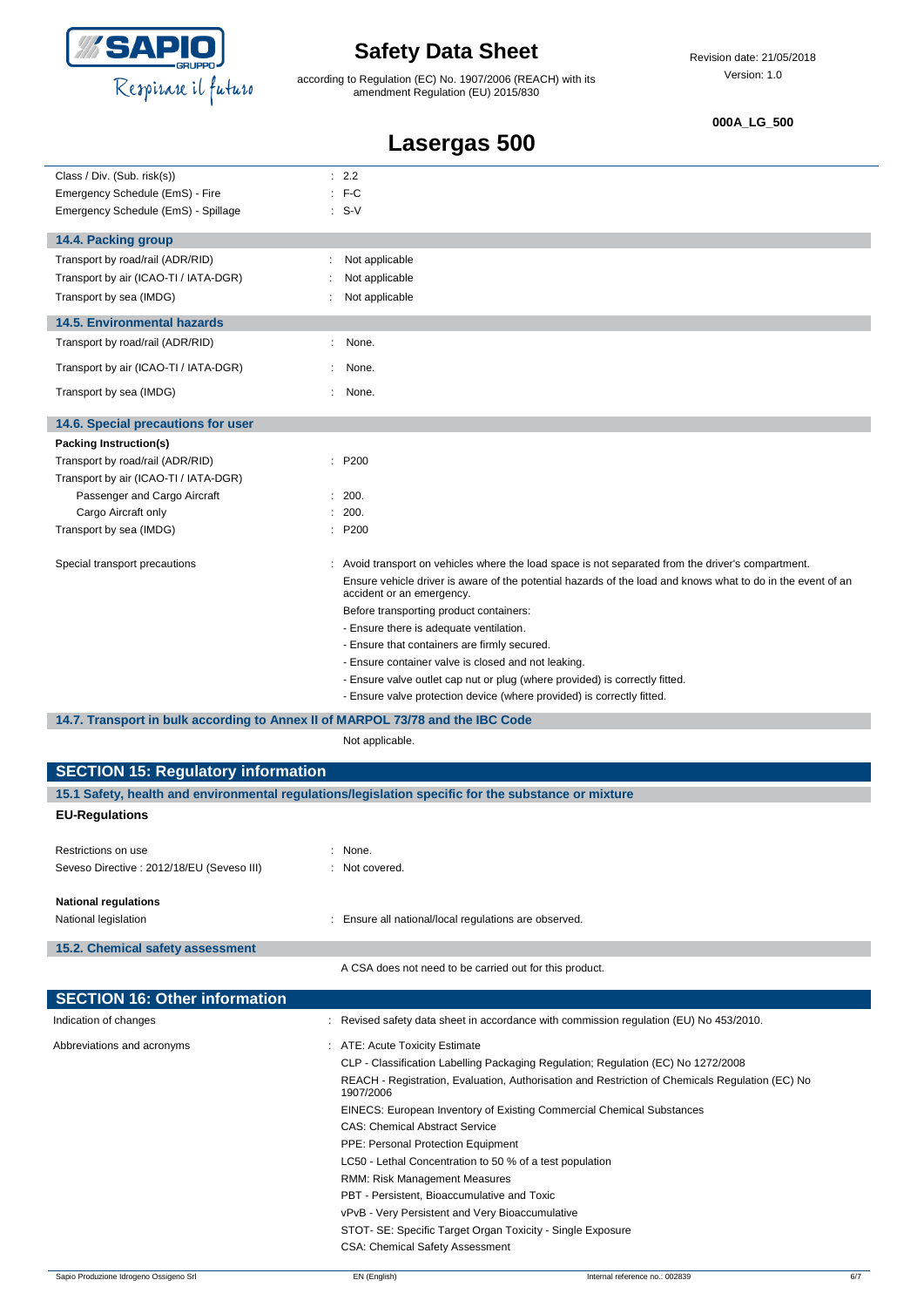

according to Regulation (EC) No. 1907/2006 (REACH) with its amendment Regulation (EU) 2015/830

#### **000A\_LG\_500**

| Lasergas 500                                                                   |                                                                                                                                          |  |
|--------------------------------------------------------------------------------|------------------------------------------------------------------------------------------------------------------------------------------|--|
| Class / Div. (Sub. risk(s))                                                    | : 2.2                                                                                                                                    |  |
| Emergency Schedule (EmS) - Fire                                                | $:$ F-C                                                                                                                                  |  |
| Emergency Schedule (EmS) - Spillage                                            | $: S-V$                                                                                                                                  |  |
| 14.4. Packing group                                                            |                                                                                                                                          |  |
| Transport by road/rail (ADR/RID)                                               | Not applicable<br>÷                                                                                                                      |  |
| Transport by air (ICAO-TI / IATA-DGR)                                          | Not applicable                                                                                                                           |  |
| Transport by sea (IMDG)                                                        | Not applicable                                                                                                                           |  |
| <b>14.5. Environmental hazards</b>                                             |                                                                                                                                          |  |
| Transport by road/rail (ADR/RID)                                               | None.                                                                                                                                    |  |
| Transport by air (ICAO-TI / IATA-DGR)                                          | None.                                                                                                                                    |  |
| Transport by sea (IMDG)                                                        | None.<br>٠                                                                                                                               |  |
| 14.6. Special precautions for user                                             |                                                                                                                                          |  |
| Packing Instruction(s)                                                         |                                                                                                                                          |  |
| Transport by road/rail (ADR/RID)                                               | : P200                                                                                                                                   |  |
| Transport by air (ICAO-TI / IATA-DGR)                                          |                                                                                                                                          |  |
| Passenger and Cargo Aircraft                                                   | : 200.                                                                                                                                   |  |
| Cargo Aircraft only                                                            | : 200.                                                                                                                                   |  |
| Transport by sea (IMDG)                                                        | : P200                                                                                                                                   |  |
| Special transport precautions                                                  | : Avoid transport on vehicles where the load space is not separated from the driver's compartment.                                       |  |
|                                                                                | Ensure vehicle driver is aware of the potential hazards of the load and knows what to do in the event of an<br>accident or an emergency. |  |
|                                                                                | Before transporting product containers:                                                                                                  |  |
|                                                                                | - Ensure there is adequate ventilation.                                                                                                  |  |
|                                                                                | - Ensure that containers are firmly secured.                                                                                             |  |
|                                                                                | - Ensure container valve is closed and not leaking.                                                                                      |  |
|                                                                                | - Ensure valve outlet cap nut or plug (where provided) is correctly fitted.                                                              |  |
|                                                                                | - Ensure valve protection device (where provided) is correctly fitted.                                                                   |  |
| 14.7. Transport in bulk according to Annex II of MARPOL 73/78 and the IBC Code |                                                                                                                                          |  |
|                                                                                | Not applicable.                                                                                                                          |  |
| <b>SECTION 15: Regulatory information</b>                                      |                                                                                                                                          |  |
|                                                                                | 15.1 Safety, health and environmental regulations/legislation specific for the substance or mixture                                      |  |
| <b>EU-Regulations</b>                                                          |                                                                                                                                          |  |
| Restrictions on use                                                            | : None.                                                                                                                                  |  |
| Seveso Directive : 2012/18/EU (Seveso III)                                     | : Not covered.                                                                                                                           |  |
| <b>National regulations</b>                                                    |                                                                                                                                          |  |
| National legislation                                                           | Ensure all national/local regulations are observed.                                                                                      |  |

**15.2. Chemical safety assessment**

A CSA does not need to be carried out for this product.

| <b>SECTION 16: Other information</b> |                                                                                                              |
|--------------------------------------|--------------------------------------------------------------------------------------------------------------|
| Indication of changes                | : Revised safety data sheet in accordance with commission regulation (EU) No 453/2010.                       |
| Abbreviations and acronyms           | : ATE: Acute Toxicity Estimate                                                                               |
|                                      | CLP - Classification Labelling Packaging Regulation; Regulation (EC) No 1272/2008                            |
|                                      | REACH - Registration, Evaluation, Authorisation and Restriction of Chemicals Regulation (EC) No<br>1907/2006 |
|                                      | <b>EINECS: European Inventory of Existing Commercial Chemical Substances</b>                                 |
|                                      | <b>CAS: Chemical Abstract Service</b>                                                                        |
|                                      | <b>PPE: Personal Protection Equipment</b>                                                                    |
|                                      | LC50 - Lethal Concentration to 50 % of a test population                                                     |
|                                      | RMM: Risk Management Measures                                                                                |
|                                      | PBT - Persistent, Bioaccumulative and Toxic                                                                  |
|                                      | vPvB - Very Persistent and Very Bioaccumulative                                                              |
|                                      | STOT- SE: Specific Target Organ Toxicity - Single Exposure                                                   |
|                                      | <b>CSA: Chemical Safety Assessment</b>                                                                       |